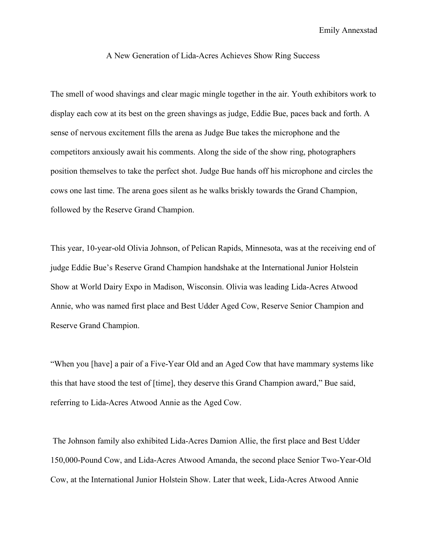Emily Annexstad

## A New Generation of Lida-Acres Achieves Show Ring Success

The smell of wood shavings and clear magic mingle together in the air. Youth exhibitors work to display each cow at its best on the green shavings as judge, Eddie Bue, paces back and forth. A sense of nervous excitement fills the arena as Judge Bue takes the microphone and the competitors anxiously await his comments. Along the side of the show ring, photographers position themselves to take the perfect shot. Judge Bue hands off his microphone and circles the cows one last time. The arena goes silent as he walks briskly towards the Grand Champion, followed by the Reserve Grand Champion.

This year, 10-year-old Olivia Johnson, of Pelican Rapids, Minnesota, was at the receiving end of judge Eddie Bue's Reserve Grand Champion handshake at the International Junior Holstein Show at World Dairy Expo in Madison, Wisconsin. Olivia was leading Lida-Acres Atwood Annie, who was named first place and Best Udder Aged Cow, Reserve Senior Champion and Reserve Grand Champion.

"When you [have] a pair of a Five-Year Old and an Aged Cow that have mammary systems like this that have stood the test of [time], they deserve this Grand Champion award," Bue said, referring to Lida-Acres Atwood Annie as the Aged Cow.

The Johnson family also exhibited Lida-Acres Damion Allie, the first place and Best Udder 150,000-Pound Cow, and Lida-Acres Atwood Amanda, the second place Senior Two-Year-Old Cow, at the International Junior Holstein Show. Later that week, Lida-Acres Atwood Annie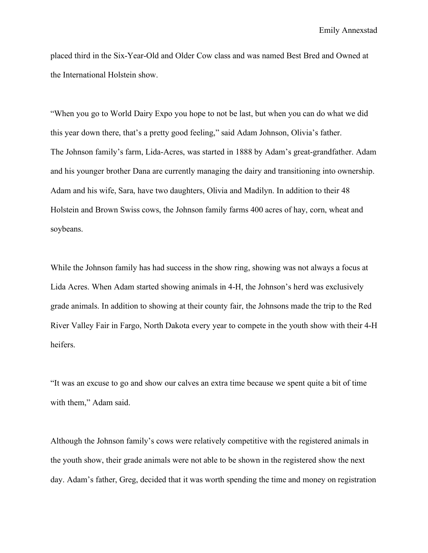placed third in the Six-Year-Old and Older Cow class and was named Best Bred and Owned at the International Holstein show.

"When you go to World Dairy Expo you hope to not be last, but when you can do what we did this year down there, that's a pretty good feeling," said Adam Johnson, Olivia's father. The Johnson family's farm, Lida-Acres, was started in 1888 by Adam's great-grandfather. Adam and his younger brother Dana are currently managing the dairy and transitioning into ownership. Adam and his wife, Sara, have two daughters, Olivia and Madilyn. In addition to their 48 Holstein and Brown Swiss cows, the Johnson family farms 400 acres of hay, corn, wheat and soybeans.

While the Johnson family has had success in the show ring, showing was not always a focus at Lida Acres. When Adam started showing animals in 4-H, the Johnson's herd was exclusively grade animals. In addition to showing at their county fair, the Johnsons made the trip to the Red River Valley Fair in Fargo, North Dakota every year to compete in the youth show with their 4-H heifers.

"It was an excuse to go and show our calves an extra time because we spent quite a bit of time with them," Adam said.

Although the Johnson family's cows were relatively competitive with the registered animals in the youth show, their grade animals were not able to be shown in the registered show the next day. Adam's father, Greg, decided that it was worth spending the time and money on registration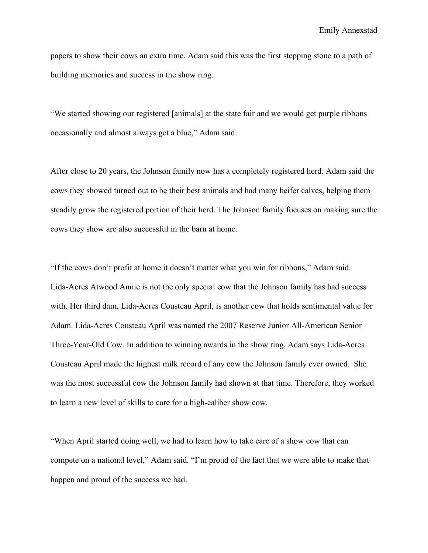papers to show their cows an extra time. Adam said this was the first stepping stone to a path of building memories and success in the show ring.

"We started showing our registered [animals] at the state fair and we would get purple ribbons occasionally and almost always get a blue," Adam said.

After close to 20 years, the Johnson family now has a completely registered herd. Adam said the cows they showed turned out to be their best animals and had many heifer calves, helping them steadily grow the registered portion of their herd. The Johnson family focuses on making sure the cows they show are also successful in the barn at home.

"If the cows don't profit at home it doesn't matter what you win for ribbons," Adam said. Lida-Acres Atwood Annie is not the only special cow that the Johnson family has had success with. Her third dam, Lida-Acres Cousteau April, is another cow that holds sentimental value for Adam. Lida-Acres Cousteau April was named the 2007 Reserve Junior All-American Senior Three-Year-Old Cow. In addition to winning awards in the show ring, Adam says Lida-Acres Cousteau April made the highest milk record of any cow the Johnson family ever owned. She was the most successful cow the Johnson family had shown at that time. Therefore, they worked to learn a new level of skills to care for a high-caliber show cow.

"When April started doing well, we had to learn how to take care of a show cow that can compete on a national level," Adam said. "I'm proud of the fact that we were able to make that happen and proud of the success we had.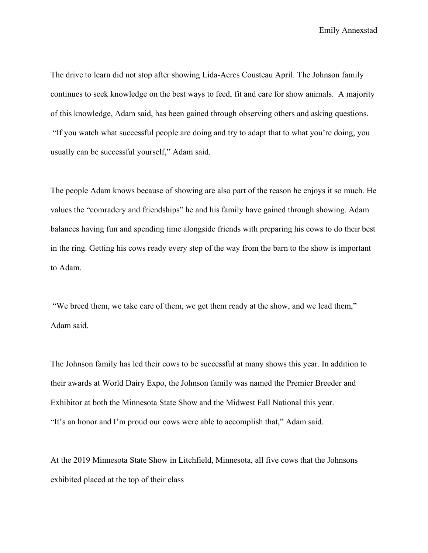Emily Annexstad

The drive to learn did not stop after showing Lida-Acres Cousteau April. The Johnson family continues to seek knowledge on the best ways to feed, fit and care for show animals. A majority of this knowledge, Adam said, has been gained through observing others and asking questions. "If you watch what successful people are doing and try to adapt that to what you're doing, you usually can be successful yourself," Adam said.

The people Adam knows because of showing are also part of the reason he enjoys it so much. He values the "comradery and friendships" he and his family have gained through showing. Adam balances having fun and spending time alongside friends with preparing his cows to do their best in the ring. Getting his cows ready every step of the way from the barn to the show is important to Adam.

"We breed them, we take care of them, we get them ready at the show, and we lead them," Adam said.

The Johnson family has led their cows to be successful at many shows this year. In addition to their awards at World Dairy Expo, the Johnson family was named the Premier Breeder and Exhibitor at both the Minnesota State Show and the Midwest Fall National this year. "It's an honor and I'm proud our cows were able to accomplish that," Adam said.

At the 2019 Minnesota State Show in Litchfield, Minnesota, all five cows that the Johnsons exhibited placed at the top of their class